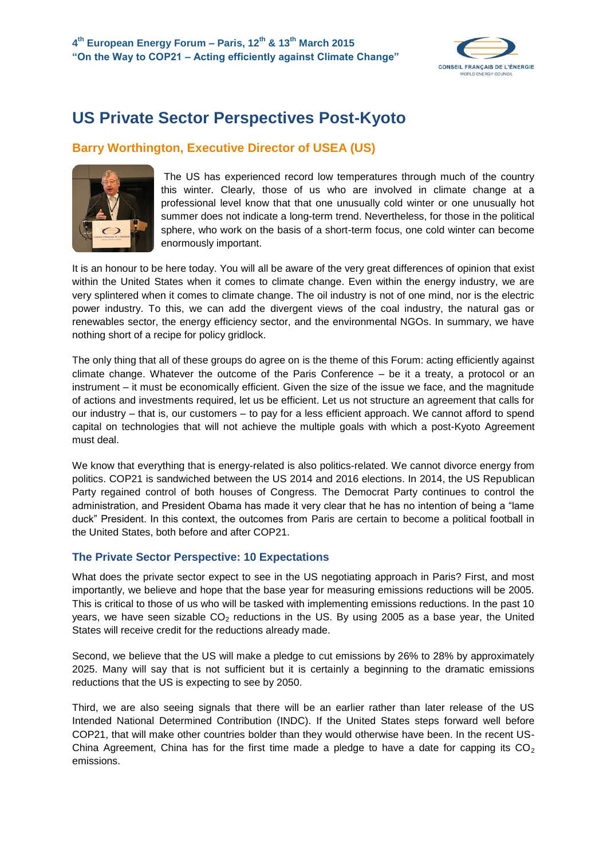

# **US Private Sector Perspectives Post-Kyoto**

## **Barry Worthington, Executive Director of USEA (US)**



The US has experienced record low temperatures through much of the country this winter. Clearly, those of us who are involved in climate change at a professional level know that that one unusually cold winter or one unusually hot summer does not indicate a long-term trend. Nevertheless, for those in the political sphere, who work on the basis of a short-term focus, one cold winter can become enormously important.

It is an honour to be here today. You will all be aware of the very great differences of opinion that exist within the United States when it comes to climate change. Even within the energy industry, we are very splintered when it comes to climate change. The oil industry is not of one mind, nor is the electric power industry. To this, we can add the divergent views of the coal industry, the natural gas or renewables sector, the energy efficiency sector, and the environmental NGOs. In summary, we have nothing short of a recipe for policy gridlock.

The only thing that all of these groups do agree on is the theme of this Forum: acting efficiently against climate change. Whatever the outcome of the Paris Conference – be it a treaty, a protocol or an instrument – it must be economically efficient. Given the size of the issue we face, and the magnitude of actions and investments required, let us be efficient. Let us not structure an agreement that calls for our industry – that is, our customers – to pay for a less efficient approach. We cannot afford to spend capital on technologies that will not achieve the multiple goals with which a post-Kyoto Agreement must deal.

We know that everything that is energy-related is also politics-related. We cannot divorce energy from politics. COP21 is sandwiched between the US 2014 and 2016 elections. In 2014, the US Republican Party regained control of both houses of Congress. The Democrat Party continues to control the administration, and President Obama has made it very clear that he has no intention of being a "lame duck" President. In this context, the outcomes from Paris are certain to become a political football in the United States, both before and after COP21.

### **The Private Sector Perspective: 10 Expectations**

What does the private sector expect to see in the US negotiating approach in Paris? First, and most importantly, we believe and hope that the base year for measuring emissions reductions will be 2005. This is critical to those of us who will be tasked with implementing emissions reductions. In the past 10 years, we have seen sizable  $CO<sub>2</sub>$  reductions in the US. By using 2005 as a base year, the United States will receive credit for the reductions already made.

Second, we believe that the US will make a pledge to cut emissions by 26% to 28% by approximately 2025. Many will say that is not sufficient but it is certainly a beginning to the dramatic emissions reductions that the US is expecting to see by 2050.

Third, we are also seeing signals that there will be an earlier rather than later release of the US Intended National Determined Contribution (INDC). If the United States steps forward well before COP21, that will make other countries bolder than they would otherwise have been. In the recent US-China Agreement, China has for the first time made a pledge to have a date for capping its  $CO<sub>2</sub>$ emissions.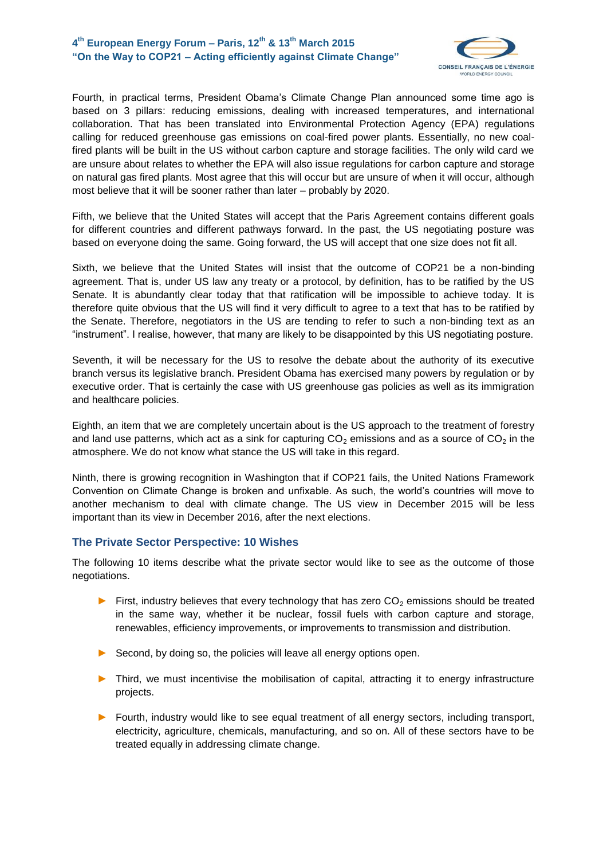### **4 th European Energy Forum – Paris, 12th & 13th March 2015 "On the Way to COP21 – Acting efficiently against Climate Change"**



Fourth, in practical terms, President Obama's Climate Change Plan announced some time ago is based on 3 pillars: reducing emissions, dealing with increased temperatures, and international collaboration. That has been translated into Environmental Protection Agency (EPA) regulations calling for reduced greenhouse gas emissions on coal-fired power plants. Essentially, no new coalfired plants will be built in the US without carbon capture and storage facilities. The only wild card we are unsure about relates to whether the EPA will also issue regulations for carbon capture and storage on natural gas fired plants. Most agree that this will occur but are unsure of when it will occur, although most believe that it will be sooner rather than later – probably by 2020.

Fifth, we believe that the United States will accept that the Paris Agreement contains different goals for different countries and different pathways forward. In the past, the US negotiating posture was based on everyone doing the same. Going forward, the US will accept that one size does not fit all.

Sixth, we believe that the United States will insist that the outcome of COP21 be a non-binding agreement. That is, under US law any treaty or a protocol, by definition, has to be ratified by the US Senate. It is abundantly clear today that that ratification will be impossible to achieve today. It is therefore quite obvious that the US will find it very difficult to agree to a text that has to be ratified by the Senate. Therefore, negotiators in the US are tending to refer to such a non-binding text as an "instrument". I realise, however, that many are likely to be disappointed by this US negotiating posture.

Seventh, it will be necessary for the US to resolve the debate about the authority of its executive branch versus its legislative branch. President Obama has exercised many powers by regulation or by executive order. That is certainly the case with US greenhouse gas policies as well as its immigration and healthcare policies.

Eighth, an item that we are completely uncertain about is the US approach to the treatment of forestry and land use patterns, which act as a sink for capturing  $CO<sub>2</sub>$  emissions and as a source of  $CO<sub>2</sub>$  in the atmosphere. We do not know what stance the US will take in this regard.

Ninth, there is growing recognition in Washington that if COP21 fails, the United Nations Framework Convention on Climate Change is broken and unfixable. As such, the world's countries will move to another mechanism to deal with climate change. The US view in December 2015 will be less important than its view in December 2016, after the next elections.

#### **The Private Sector Perspective: 10 Wishes**

The following 10 items describe what the private sector would like to see as the outcome of those negotiations.

- ► First, industry believes that every technology that has zero  $CO<sub>2</sub>$  emissions should be treated in the same way, whether it be nuclear, fossil fuels with carbon capture and storage, renewables, efficiency improvements, or improvements to transmission and distribution.
- ► Second, by doing so, the policies will leave all energy options open.
- ► Third, we must incentivise the mobilisation of capital, attracting it to energy infrastructure projects.
- ► Fourth, industry would like to see equal treatment of all energy sectors, including transport, electricity, agriculture, chemicals, manufacturing, and so on. All of these sectors have to be treated equally in addressing climate change.